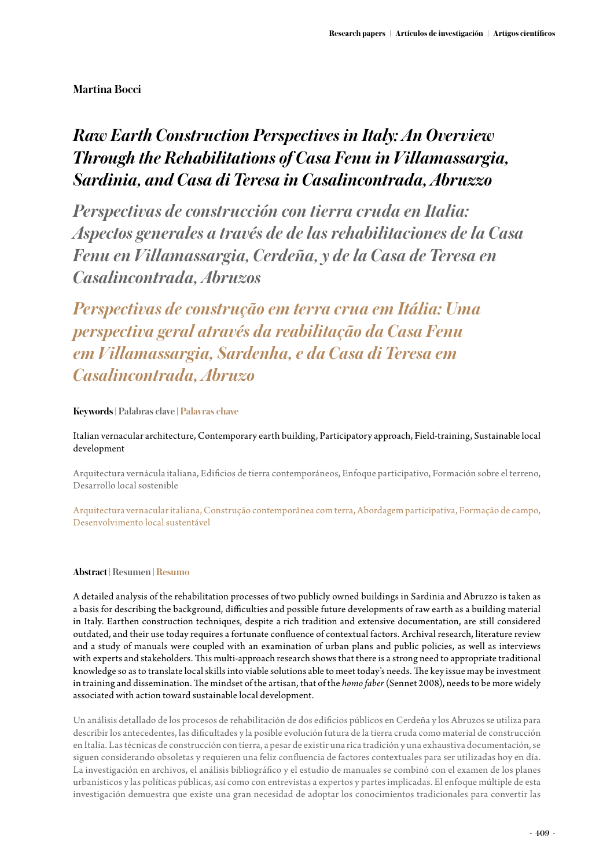## **Martina Bocci**

# *Raw Earth Construction Perspectives in Italy: An Overview Through the Rehabilitations of Casa Fenu in Villamassargia, Sardinia, and Casa di Teresa in Casalincontrada, Abruzzo*

*Perspectivas de construcción con tierra cruda en Italia: Aspectos generales a través de de las rehabilitaciones de la Casa Fenu en Villamassargia, Cerdeña, y de la Casa de Teresa en Casalincontrada, Abruzos*

*Perspectivas de construção em terra crua em Itália: Uma perspectiva geral através da reabilitação da Casa Fenu em Villamassargia, Sardenha, e da Casa di Teresa em Casalincontrada, Abruzo*

## **Keywords | Palabras clave | Palavras chave**

Italian vernacular architecture, Contemporary earth building, Participatory approach, Field-training, Sustainable local development

Arquitectura vernácula italiana, Edificios de tierra contemporáneos, Enfoque participativo, Formación sobre el terreno, Desarrollo local sostenible

Arquitectura vernacular italiana, Construção contemporânea com terra, Abordagem participativa, Formação de campo, Desenvolvimento local sustentável

## **Abstract | Resumen | Resumo**

A detailed analysis of the rehabilitation processes of two publicly owned buildings in Sardinia and Abruzzo is taken as a basis for describing the background, difficulties and possible future developments of raw earth as a building material in Italy. Earthen construction techniques, despite a rich tradition and extensive documentation, are still considered outdated, and their use today requires a fortunate confluence of contextual factors. Archival research, literature review and a study of manuals were coupled with an examination of urban plans and public policies, as well as interviews with experts and stakeholders. This multi-approach research shows that there is a strong need to appropriate traditional knowledge so as to translate local skills into viable solutions able to meet today's needs. The key issue may be investment in training and dissemination. The mindset of the artisan, that of the *homo faber* (Sennet 2008), needs to be more widely associated with action toward sustainable local development.

Un análisis detallado de los procesos de rehabilitación de dos edificios públicos en Cerdeña y los Abruzos se utiliza para describir los antecedentes, las dificultades y la posible evolución futura de la tierra cruda como material de construcción en Italia. Las técnicas de construcción con tierra, a pesar de existir una rica tradición y una exhaustiva documentación, se siguen considerando obsoletas y requieren una feliz confluencia de factores contextuales para ser utilizadas hoy en día. La investigación en archivos, el análisis bibliográfico y el estudio de manuales se combinó con el examen de los planes urbanísticos y las políticas públicas, así como con entrevistas a expertos y partes implicadas. El enfoque múltiple de esta investigación demuestra que existe una gran necesidad de adoptar los conocimientos tradicionales para convertir las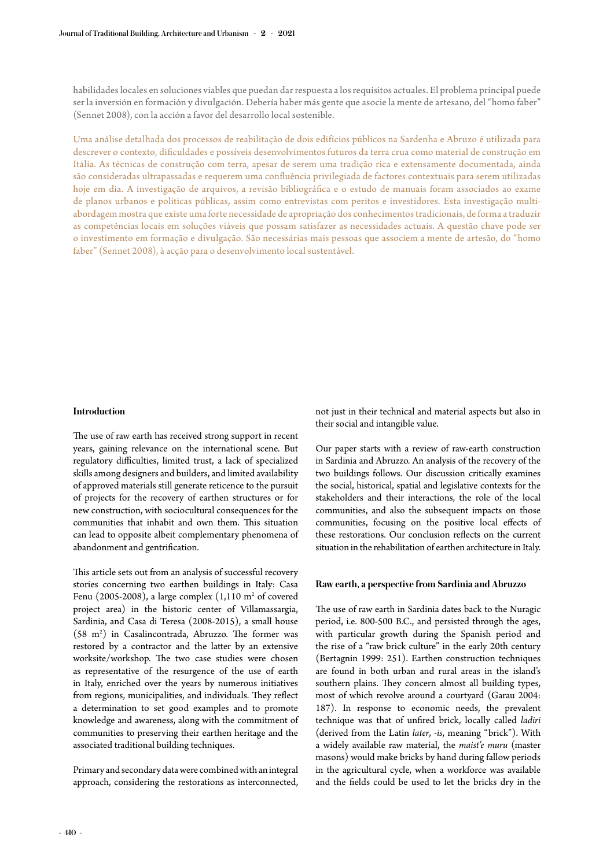habilidades locales en soluciones viables que puedan dar respuesta a los requisitos actuales. El problema principal puede ser la inversión en formación y divulgación. Debería haber más gente que asocie la mente de artesano, del "homo faber" (Sennet 2008), con la acción a favor del desarrollo local sostenible.

Uma análise detalhada dos processos de reabilitação de dois edifícios públicos na Sardenha e Abruzo é utilizada para descrever o contexto, dificuldades e possíveis desenvolvimentos futuros da terra crua como material de construção em Itália. As técnicas de construção com terra, apesar de serem uma tradição rica e extensamente documentada, ainda são consideradas ultrapassadas e requerem uma confluência privilegiada de factores contextuais para serem utilizadas hoje em dia. A investigação de arquivos, a revisão bibliográfica e o estudo de manuais foram associados ao exame de planos urbanos e políticas públicas, assim como entrevistas com peritos e investidores. Esta investigação multiabordagem mostra que existe uma forte necessidade de apropriação dos conhecimentos tradicionais, de forma a traduzir as competências locais em soluções viáveis que possam satisfazer as necessidades actuais. A questão chave pode ser o investimento em formação e divulgação. São necessárias mais pessoas que associem a mente de artesão, do "homo faber" (Sennet 2008), à acção para o desenvolvimento local sustentável.

#### **Introduction**

The use of raw earth has received strong support in recent years, gaining relevance on the international scene. But regulatory difficulties, limited trust, a lack of specialized skills among designers and builders, and limited availability of approved materials still generate reticence to the pursuit of projects for the recovery of earthen structures or for new construction, with sociocultural consequences for the communities that inhabit and own them. This situation can lead to opposite albeit complementary phenomena of abandonment and gentrification.

This article sets out from an analysis of successful recovery stories concerning two earthen buildings in Italy: Casa Fenu  $(2005-2008)$ , a large complex  $(1,110 \text{ m}^2 \text{ of covered})$ project area) in the historic center of Villamassargia, Sardinia, and Casa di Teresa (2008-2015), a small house  $(58 \text{ m}^2)$  in Casalincontrada, Abruzzo. The former was restored by a contractor and the latter by an extensive worksite/workshop. The two case studies were chosen as representative of the resurgence of the use of earth in Italy, enriched over the years by numerous initiatives from regions, municipalities, and individuals. They reflect a determination to set good examples and to promote knowledge and awareness, along with the commitment of communities to preserving their earthen heritage and the associated traditional building techniques.

Primary and secondary data were combined with an integral approach, considering the restorations as interconnected,

not just in their technical and material aspects but also in their social and intangible value.

Our paper starts with a review of raw-earth construction in Sardinia and Abruzzo. An analysis of the recovery of the two buildings follows. Our discussion critically examines the social, historical, spatial and legislative contexts for the stakeholders and their interactions, the role of the local communities, and also the subsequent impacts on those communities, focusing on the positive local effects of these restorations. Our conclusion reflects on the current situation in the rehabilitation of earthen architecture in Italy.

#### **Raw earth, a perspective from Sardinia and Abruzzo**

The use of raw earth in Sardinia dates back to the Nuragic period, i.e. 800-500 B.C., and persisted through the ages, with particular growth during the Spanish period and the rise of a "raw brick culture" in the early 20th century (Bertagnin 1999: 251). Earthen construction techniques are found in both urban and rural areas in the island's southern plains. They concern almost all building types, most of which revolve around a courtyard (Garau 2004: 187). In response to economic needs, the prevalent technique was that of unfired brick, locally called *ladiri* (derived from the Latin *later*, *-is*, meaning "brick"). With a widely available raw material, the *maist'e muru* (master masons) would make bricks by hand during fallow periods in the agricultural cycle, when a workforce was available and the fields could be used to let the bricks dry in the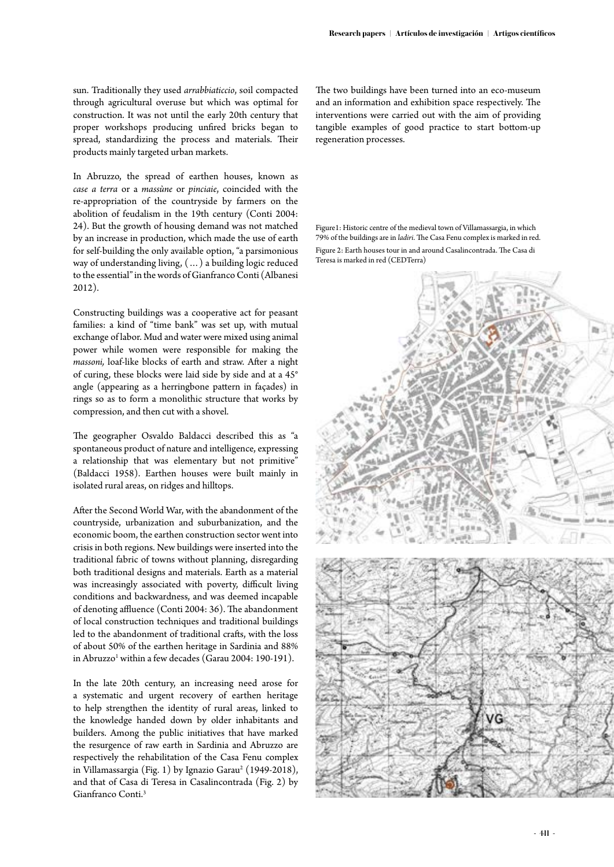sun. Traditionally they used *arrabbiaticcio*, soil compacted through agricultural overuse but which was optimal for construction. It was not until the early 20th century that proper workshops producing unfired bricks began to spread, standardizing the process and materials. Their products mainly targeted urban markets.

In Abruzzo, the spread of earthen houses, known as *case a terra* or a *massùne* or *pinciaie*, coincided with the re-appropriation of the countryside by farmers on the abolition of feudalism in the 19th century (Conti 2004: 24). But the growth of housing demand was not matched by an increase in production, which made the use of earth for self-building the only available option, "a parsimonious way of understanding living, (…) a building logic reduced to the essential" in the words of Gianfranco Conti (Albanesi 2012).

Constructing buildings was a cooperative act for peasant families: a kind of "time bank" was set up, with mutual exchange of labor. Mud and water were mixed using animal power while women were responsible for making the *massoni,* loaf-like blocks of earth and straw. After a night of curing, these blocks were laid side by side and at a 45° angle (appearing as a herringbone pattern in façades) in rings so as to form a monolithic structure that works by compression, and then cut with a shovel.

The geographer Osvaldo Baldacci described this as "a spontaneous product of nature and intelligence, expressing a relationship that was elementary but not primitive" (Baldacci 1958). Earthen houses were built mainly in isolated rural areas, on ridges and hilltops.

After the Second World War, with the abandonment of the countryside, urbanization and suburbanization, and the economic boom, the earthen construction sector went into crisis in both regions. New buildings were inserted into the traditional fabric of towns without planning, disregarding both traditional designs and materials. Earth as a material was increasingly associated with poverty, difficult living conditions and backwardness, and was deemed incapable of denoting affluence (Conti 2004: 36). The abandonment of local construction techniques and traditional buildings led to the abandonment of traditional crafts, with the loss of about 50% of the earthen heritage in Sardinia and 88% in Abruzzo<sup>1</sup> within a few decades (Garau 2004: 190-191).

In the late 20th century, an increasing need arose for a systematic and urgent recovery of earthen heritage to help strengthen the identity of rural areas, linked to the knowledge handed down by older inhabitants and builders. Among the public initiatives that have marked the resurgence of raw earth in Sardinia and Abruzzo are respectively the rehabilitation of the Casa Fenu complex in Villamassargia (Fig. 1) by Ignazio Garau<sup>2</sup> (1949-2018), and that of Casa di Teresa in Casalincontrada (Fig. 2) by Gianfranco Conti.3

The two buildings have been turned into an eco-museum and an information and exhibition space respectively. The interventions were carried out with the aim of providing tangible examples of good practice to start bottom-up regeneration processes.

Figure1: Historic centre of the medieval town of Villamassargia, in which 79% of the buildings are in *ladiri*. The Casa Fenu complex is marked in red. Figure 2: Earth houses tour in and around Casalincontrada. The Casa di Teresa is marked in red (CEDTerra)

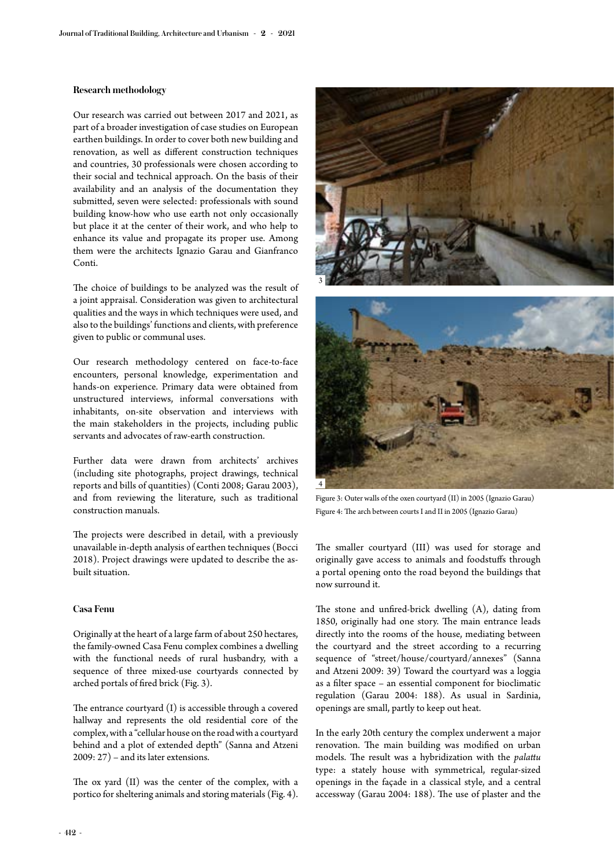## **Research methodology**

Our research was carried out between 2017 and 2021, as part of a broader investigation of case studies on European earthen buildings. In order to cover both new building and renovation, as well as different construction techniques and countries, 30 professionals were chosen according to their social and technical approach. On the basis of their availability and an analysis of the documentation they submitted, seven were selected: professionals with sound building know-how who use earth not only occasionally but place it at the center of their work, and who help to enhance its value and propagate its proper use. Among them were the architects Ignazio Garau and Gianfranco Conti.

The choice of buildings to be analyzed was the result of a joint appraisal. Consideration was given to architectural qualities and the ways in which techniques were used, and also to the buildings' functions and clients, with preference given to public or communal uses.

Our research methodology centered on face-to-face encounters, personal knowledge, experimentation and hands-on experience. Primary data were obtained from unstructured interviews, informal conversations with inhabitants, on-site observation and interviews with the main stakeholders in the projects, including public servants and advocates of raw-earth construction.

Further data were drawn from architects' archives (including site photographs, project drawings, technical reports and bills of quantities) (Conti 2008; Garau 2003), and from reviewing the literature, such as traditional construction manuals.

The projects were described in detail, with a previously unavailable in-depth analysis of earthen techniques (Bocci 2018). Project drawings were updated to describe the asbuilt situation.

### **Casa Fenu**

Originally at the heart of a large farm of about 250 hectares, the family-owned Casa Fenu complex combines a dwelling with the functional needs of rural husbandry, with a sequence of three mixed-use courtyards connected by arched portals of fired brick (Fig. 3).

The entrance courtyard (I) is accessible through a covered hallway and represents the old residential core of the complex, with a "cellular house on the road with a courtyard behind and a plot of extended depth" (Sanna and Atzeni 2009: 27) – and its later extensions.

The ox yard (II) was the center of the complex, with a portico for sheltering animals and storing materials (Fig. 4).





Figure 3: Outer walls of the oxen courtyard (II) in 2005 (Ignazio Garau) Figure 4: The arch between courts I and II in 2005 (Ignazio Garau)

The smaller courtyard (III) was used for storage and originally gave access to animals and foodstuffs through a portal opening onto the road beyond the buildings that now surround it.

The stone and unfired-brick dwelling (A), dating from 1850, originally had one story. The main entrance leads directly into the rooms of the house, mediating between the courtyard and the street according to a recurring sequence of "street/house/courtyard/annexes" (Sanna and Atzeni 2009: 39) Toward the courtyard was a loggia as a filter space – an essential component for bioclimatic regulation (Garau 2004: 188). As usual in Sardinia, openings are small, partly to keep out heat.

In the early 20th century the complex underwent a major renovation. The main building was modified on urban models. The result was a hybridization with the *palattu*  type: a stately house with symmetrical, regular-sized openings in the façade in a classical style, and a central accessway (Garau 2004: 188). The use of plaster and the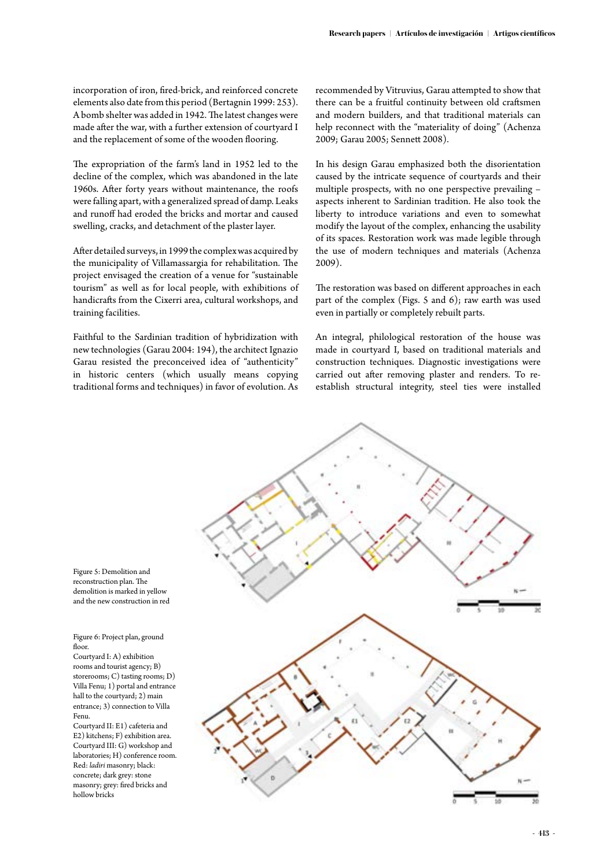incorporation of iron, fired-brick, and reinforced concrete elements also date from this period (Bertagnin 1999: 253). A bomb shelter was added in 1942. The latest changes were made after the war, with a further extension of courtyard I and the replacement of some of the wooden flooring.

The expropriation of the farm's land in 1952 led to the decline of the complex, which was abandoned in the late 1960s. After forty years without maintenance, the roofs were falling apart, with a generalized spread of damp. Leaks and runoff had eroded the bricks and mortar and caused swelling, cracks, and detachment of the plaster layer.

After detailed surveys, in 1999 the complex was acquired by the municipality of Villamassargia for rehabilitation. The project envisaged the creation of a venue for "sustainable tourism" as well as for local people, with exhibitions of handicrafts from the Cixerri area, cultural workshops, and training facilities.

Faithful to the Sardinian tradition of hybridization with new technologies (Garau 2004: 194), the architect Ignazio Garau resisted the preconceived idea of "authenticity" in historic centers (which usually means copying traditional forms and techniques) in favor of evolution. As

recommended by Vitruvius, Garau attempted to show that there can be a fruitful continuity between old craftsmen and modern builders, and that traditional materials can help reconnect with the "materiality of doing" (Achenza 2009; Garau 2005; Sennett 2008).

In his design Garau emphasized both the disorientation caused by the intricate sequence of courtyards and their multiple prospects, with no one perspective prevailing – aspects inherent to Sardinian tradition. He also took the liberty to introduce variations and even to somewhat modify the layout of the complex, enhancing the usability of its spaces. Restoration work was made legible through the use of modern techniques and materials (Achenza 2009).

The restoration was based on different approaches in each part of the complex (Figs. 5 and 6); raw earth was used even in partially or completely rebuilt parts.

An integral, philological restoration of the house was made in courtyard I, based on traditional materials and construction techniques. Diagnostic investigations were carried out after removing plaster and renders. To reestablish structural integrity, steel ties were installed



Figure 5: Demolition and reconstruction plan. The demolition is marked in yellow and the new construction in red

Figure 6: Project plan, ground floor.

Courtyard I: A) exhibition rooms and tourist agency; B) storerooms; C) tasting rooms; D) Villa Fenu; 1) portal and entrance hall to the courtyard; 2) main entrance; 3) connection to Villa Fenu.

Courtyard II: E1) cafeteria and E2) kitchens; F) exhibition area. Courtyard III: G) workshop and laboratories; H) conference room. Red: *ladiri* masonry; black: concrete; dark grey: stone masonry; grey: fired bricks and hollow bricks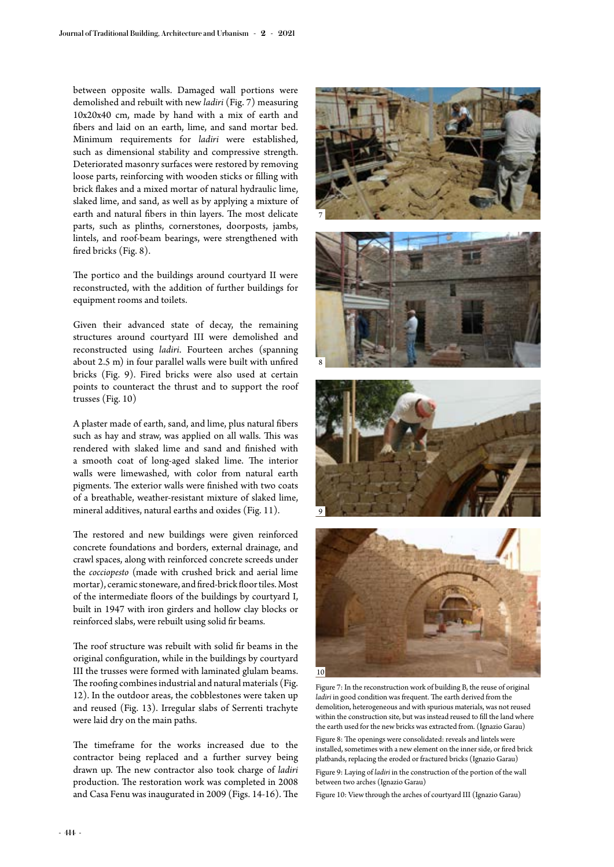between opposite walls. Damaged wall portions were demolished and rebuilt with new *ladiri* (Fig. 7) measuring 10x20x40 cm, made by hand with a mix of earth and fibers and laid on an earth, lime, and sand mortar bed. Minimum requirements for *ladiri* were established, such as dimensional stability and compressive strength. Deteriorated masonry surfaces were restored by removing loose parts, reinforcing with wooden sticks or filling with brick flakes and a mixed mortar of natural hydraulic lime, slaked lime, and sand, as well as by applying a mixture of earth and natural fibers in thin layers. The most delicate parts, such as plinths, cornerstones, doorposts, jambs, lintels, and roof-beam bearings, were strengthened with fired bricks (Fig. 8).

The portico and the buildings around courtyard II were reconstructed, with the addition of further buildings for equipment rooms and toilets.

Given their advanced state of decay, the remaining structures around courtyard III were demolished and reconstructed using *ladiri*. Fourteen arches (spanning about 2.5 m) in four parallel walls were built with unfired bricks (Fig. 9). Fired bricks were also used at certain points to counteract the thrust and to support the roof trusses (Fig. 10)

A plaster made of earth, sand, and lime, plus natural fibers such as hay and straw, was applied on all walls. This was rendered with slaked lime and sand and finished with a smooth coat of long-aged slaked lime. The interior walls were limewashed, with color from natural earth pigments. The exterior walls were finished with two coats of a breathable, weather-resistant mixture of slaked lime, mineral additives, natural earths and oxides (Fig. 11).

The restored and new buildings were given reinforced concrete foundations and borders, external drainage, and crawl spaces, along with reinforced concrete screeds under the *cocciopesto* (made with crushed brick and aerial lime mortar), ceramic stoneware, and fired-brick floor tiles. Most of the intermediate floors of the buildings by courtyard I, built in 1947 with iron girders and hollow clay blocks or reinforced slabs, were rebuilt using solid fir beams.

The roof structure was rebuilt with solid fir beams in the original configuration, while in the buildings by courtyard III the trusses were formed with laminated glulam beams. The roofing combines industrial and natural materials (Fig. 12). In the outdoor areas, the cobblestones were taken up and reused (Fig. 13). Irregular slabs of Serrenti trachyte were laid dry on the main paths.

The timeframe for the works increased due to the contractor being replaced and a further survey being drawn up. The new contractor also took charge of *ladiri* production. The restoration work was completed in 2008 and Casa Fenu was inaugurated in 2009 (Figs. 14-16). The







Figure 7: In the reconstruction work of building B, the reuse of original *ladiri* in good condition was frequent. The earth derived from the demolition, heterogeneous and with spurious materials, was not reused within the construction site, but was instead reused to fill the land where the earth used for the new bricks was extracted from. (Ignazio Garau) Figure 8: The openings were consolidated: reveals and lintels were installed, sometimes with a new element on the inner side, or fired brick platbands, replacing the eroded or fractured bricks (Ignazio Garau) Figure 9: Laying of *ladiri* in the construction of the portion of the wall between two arches (Ignazio Garau)

Figure 10: View through the arches of courtyard III (Ignazio Garau)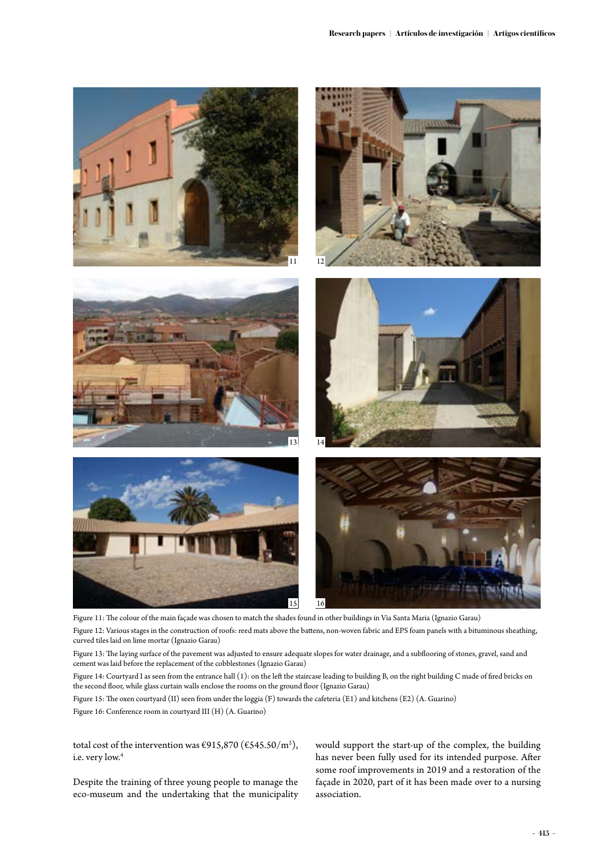

Figure 11: The colour of the main façade was chosen to match the shades found in other buildings in Via Santa Maria (Ignazio Garau) Figure 12: Various stages in the construction of roofs: reed mats above the battens, non-woven fabric and EPS foam panels with a bituminous sheathing, curved tiles laid on lime mortar (Ignazio Garau)

Figure 13: The laying surface of the pavement was adjusted to ensure adequate slopes for water drainage, and a subflooring of stones, gravel, sand and cement was laid before the replacement of the cobblestones (Ignazio Garau)

Figure 14: Courtyard I as seen from the entrance hall (1): on the left the staircase leading to building B, on the right building C made of fired bricks on the second floor, while glass curtain walls enclose the rooms on the ground floor (Ignazio Garau)

Figure 15: The oxen courtyard (II) seen from under the loggia (F) towards the cafeteria (E1) and kitchens (E2) (A. Guarino) Figure 16: Conference room in courtyard III (H) (A. Guarino)

total cost of the intervention was  $\epsilon$ 915,870 ( $\epsilon$ 545.50/m<sup>2</sup>), i.e. very low.<sup>4</sup>

Despite the training of three young people to manage the eco-museum and the undertaking that the municipality

would support the start-up of the complex, the building has never been fully used for its intended purpose. After some roof improvements in 2019 and a restoration of the façade in 2020, part of it has been made over to a nursing association.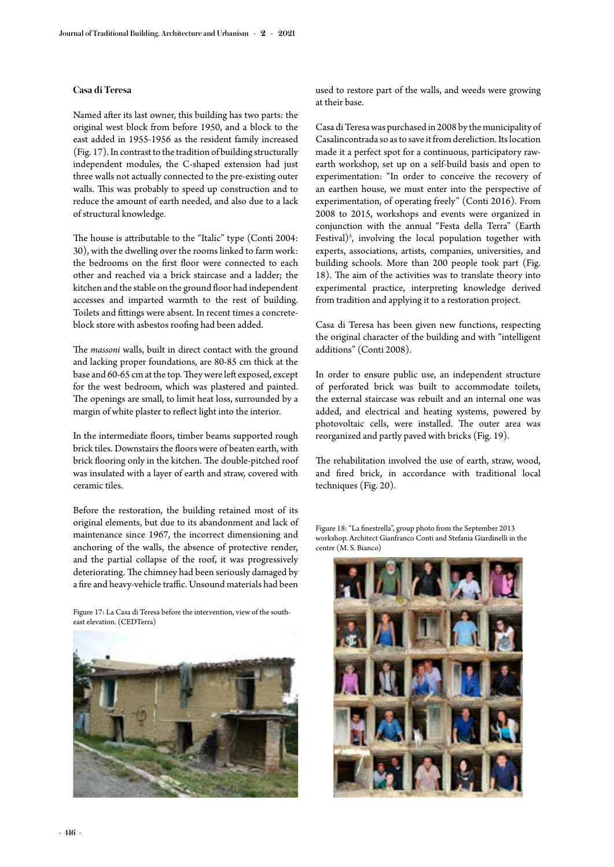## **Casa di Teresa**

Named after its last owner, this building has two parts: the original west block from before 1950, and a block to the east added in 1955-1956 as the resident family increased (Fig. 17). In contrast to the tradition of building structurally independent modules, the C-shaped extension had just three walls not actually connected to the pre-existing outer walls. This was probably to speed up construction and to reduce the amount of earth needed, and also due to a lack of structural knowledge.

The house is attributable to the "Italic" type (Conti 2004: 30), with the dwelling over the rooms linked to farm work: the bedrooms on the first floor were connected to each other and reached via a brick staircase and a ladder; the kitchen and the stable on the ground floor had independent accesses and imparted warmth to the rest of building. Toilets and fittings were absent. In recent times a concreteblock store with asbestos roofing had been added.

The *massoni* walls, built in direct contact with the ground and lacking proper foundations, are 80-85 cm thick at the base and 60-65 cm at the top. They were left exposed, except for the west bedroom, which was plastered and painted. The openings are small, to limit heat loss, surrounded by a margin of white plaster to reflect light into the interior.

In the intermediate floors, timber beams supported rough brick tiles. Downstairs the floors were of beaten earth, with brick flooring only in the kitchen. The double-pitched roof was insulated with a layer of earth and straw, covered with ceramic tiles.

Before the restoration, the building retained most of its original elements, but due to its abandonment and lack of maintenance since 1967, the incorrect dimensioning and anchoring of the walls, the absence of protective render, and the partial collapse of the roof, it was progressively deteriorating. The chimney had been seriously damaged by a fire and heavy-vehicle traffic. Unsound materials had been

Figure 17: La Casa di Teresa before the intervention, view of the southeast elevation. (CEDTerra)



used to restore part of the walls, and weeds were growing at their base.

Casa di Teresa was purchased in 2008 by the municipality of Casalincontrada so as to save it from dereliction. Its location made it a perfect spot for a continuous, participatory rawearth workshop, set up on a self-build basis and open to experimentation: "In order to conceive the recovery of an earthen house, we must enter into the perspective of experimentation, of operating freely" (Conti 2016). From 2008 to 2015, workshops and events were organized in conjunction with the annual "Festa della Terra" (Earth Festival)<sup>5</sup>, involving the local population together with experts, associations, artists, companies, universities, and building schools. More than 200 people took part (Fig. 18). The aim of the activities was to translate theory into experimental practice, interpreting knowledge derived from tradition and applying it to a restoration project.

Casa di Teresa has been given new functions, respecting the original character of the building and with "intelligent additions" (Conti 2008).

In order to ensure public use, an independent structure of perforated brick was built to accommodate toilets, the external staircase was rebuilt and an internal one was added, and electrical and heating systems, powered by photovoltaic cells, were installed. The outer area was reorganized and partly paved with bricks (Fig. 19).

The rehabilitation involved the use of earth, straw, wood, and fired brick, in accordance with traditional local techniques (Fig. 20).

Figure 18: "La finestrella", group photo from the September 2013 workshop. Architect Gianfranco Conti and Stefania Giardinelli in the centre (M. S. Bianco)

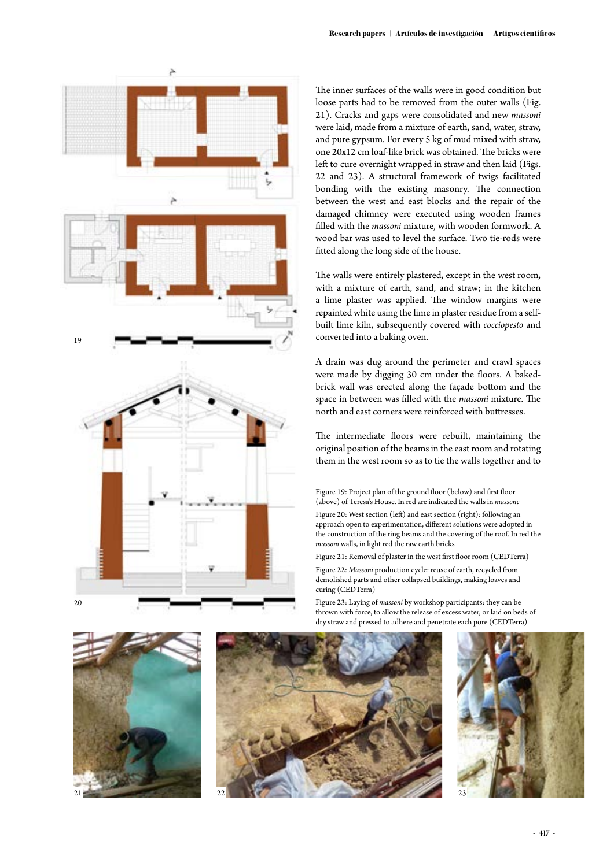

The inner surfaces of the walls were in good condition but loose parts had to be removed from the outer walls (Fig. 21). Cracks and gaps were consolidated and new *massoni* were laid, made from a mixture of earth, sand, water, straw, and pure gypsum. For every 5 kg of mud mixed with straw, one 20x12 cm loaf-like brick was obtained. The bricks were left to cure overnight wrapped in straw and then laid (Figs. 22 and 23). A structural framework of twigs facilitated bonding with the existing masonry. The connection between the west and east blocks and the repair of the damaged chimney were executed using wooden frames filled with the *massoni* mixture, with wooden formwork. A wood bar was used to level the surface. Two tie-rods were fitted along the long side of the house.

The walls were entirely plastered, except in the west room, with a mixture of earth, sand, and straw; in the kitchen a lime plaster was applied. The window margins were repainted white using the lime in plaster residue from a selfbuilt lime kiln, subsequently covered with *cocciopesto* and converted into a baking oven.

A drain was dug around the perimeter and crawl spaces were made by digging 30 cm under the floors. A bakedbrick wall was erected along the façade bottom and the space in between was filled with the *massoni* mixture. The north and east corners were reinforced with buttresses.

The intermediate floors were rebuilt, maintaining the original position of the beams in the east room and rotating them in the west room so as to tie the walls together and to

Figure 19: Project plan of the ground floor (below) and first floor (above) of Teresa's House. In red are indicated the walls in *massone*

Figure 20: West section (left) and east section (right): following an approach open to experimentation, different solutions were adopted in the construction of the ring beams and the covering of the roof. In red the *massoni* walls, in light red the raw earth bricks

Figure 21: Removal of plaster in the west first floor room (CEDTerra) Figure 22: *Massoni* production cycle: reuse of earth, recycled from demolished parts and other collapsed buildings, making loaves and curing (CEDTerra)

Figure 23: Laying of *massoni* by workshop participants: they can be thrown with force, to allow the release of excess water, or laid on beds of dry straw and pressed to adhere and penetrate each pore (CEDTerra)



 $20$ 



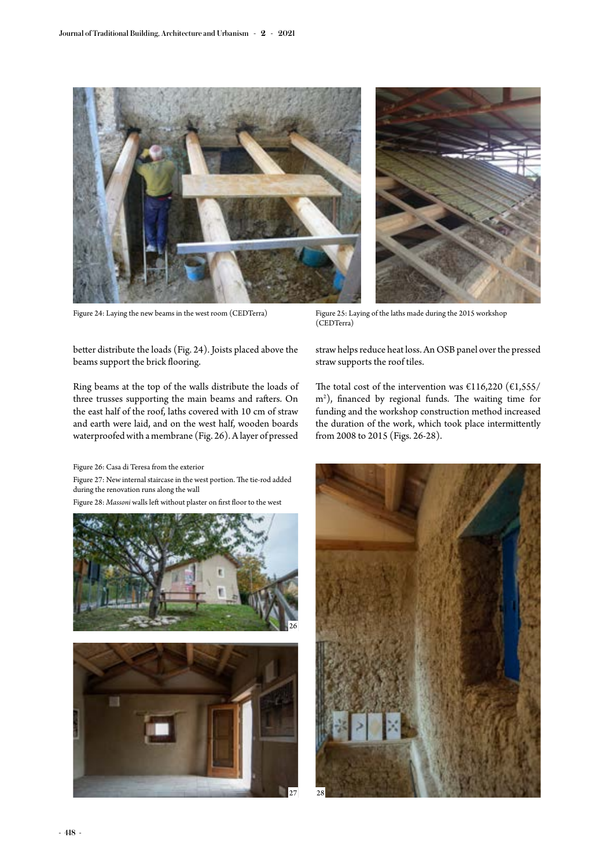

better distribute the loads (Fig. 24). Joists placed above the beams support the brick flooring.

Ring beams at the top of the walls distribute the loads of three trusses supporting the main beams and rafters. On the east half of the roof, laths covered with 10 cm of straw and earth were laid, and on the west half, wooden boards waterproofed with a membrane (Fig. 26). A layer of pressed

Figure 26: Casa di Teresa from the exterior

Figure 27: New internal staircase in the west portion. The tie-rod added during the renovation runs along the wall

Figure 28: *Massoni* walls left without plaster on first floor to the west



 $\overline{27}$ 

Figure 24: Laying the new beams in the west room (CEDTerra) Figure 25: Laying of the laths made during the 2015 workshop (CEDTerra)

straw helps reduce heat loss. An OSB panel over the pressed straw supports the roof tiles.

The total cost of the intervention was  $£116,220$   $(E1,555/$ m2 ), financed by regional funds. The waiting time for funding and the workshop construction method increased the duration of the work, which took place intermittently from 2008 to 2015 (Figs. 26-28).

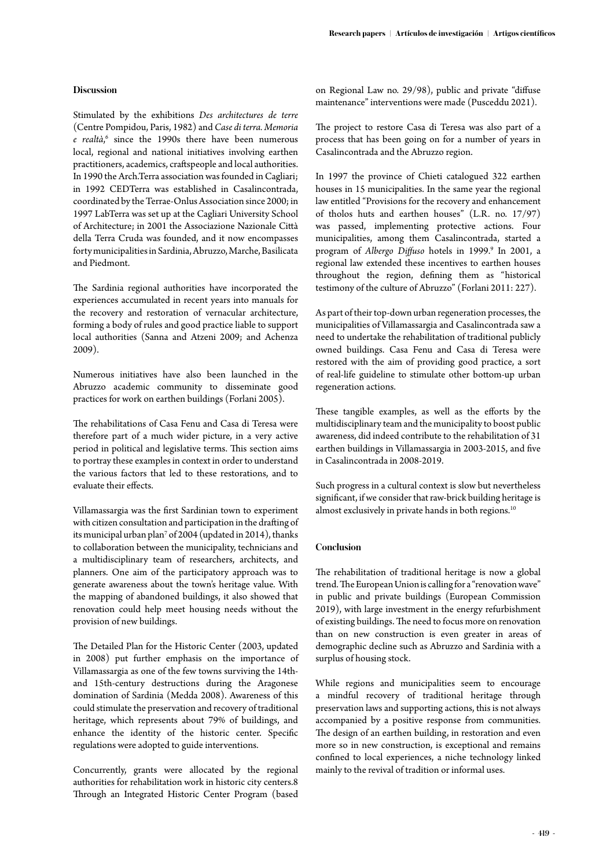## **Discussion**

Stimulated by the exhibitions *Des architectures de terre*  (Centre Pompidou, Paris, 1982) and *Case di terra. Memoria*  e realtà,<sup>6</sup> since the 1990s there have been numerous local, regional and national initiatives involving earthen practitioners, academics, craftspeople and local authorities. In 1990 the Arch.Terra association was founded in Cagliari; in 1992 CEDTerra was established in Casalincontrada, coordinated by the Terrae-Onlus Association since 2000; in 1997 LabTerra was set up at the Cagliari University School of Architecture; in 2001 the Associazione Nazionale Città della Terra Cruda was founded, and it now encompasses forty municipalities in Sardinia, Abruzzo, Marche, Basilicata and Piedmont.

The Sardinia regional authorities have incorporated the experiences accumulated in recent years into manuals for the recovery and restoration of vernacular architecture, forming a body of rules and good practice liable to support local authorities (Sanna and Atzeni 2009; and Achenza 2009).

Numerous initiatives have also been launched in the Abruzzo academic community to disseminate good practices for work on earthen buildings (Forlani 2005).

The rehabilitations of Casa Fenu and Casa di Teresa were therefore part of a much wider picture, in a very active period in political and legislative terms. This section aims to portray these examples in context in order to understand the various factors that led to these restorations, and to evaluate their effects.

Villamassargia was the first Sardinian town to experiment with citizen consultation and participation in the drafting of its municipal urban plan7 of 2004 (updated in 2014), thanks to collaboration between the municipality, technicians and a multidisciplinary team of researchers, architects, and planners. One aim of the participatory approach was to generate awareness about the town's heritage value. With the mapping of abandoned buildings, it also showed that renovation could help meet housing needs without the provision of new buildings.

The Detailed Plan for the Historic Center (2003, updated in 2008) put further emphasis on the importance of Villamassargia as one of the few towns surviving the 14thand 15th-century destructions during the Aragonese domination of Sardinia (Medda 2008). Awareness of this could stimulate the preservation and recovery of traditional heritage, which represents about 79% of buildings, and enhance the identity of the historic center. Specific regulations were adopted to guide interventions.

Concurrently, grants were allocated by the regional authorities for rehabilitation work in historic city centers.8 Through an Integrated Historic Center Program (based

on Regional Law no. 29/98), public and private "diffuse maintenance" interventions were made (Pusceddu 2021).

The project to restore Casa di Teresa was also part of a process that has been going on for a number of years in Casalincontrada and the Abruzzo region.

In 1997 the province of Chieti catalogued 322 earthen houses in 15 municipalities. In the same year the regional law entitled "Provisions for the recovery and enhancement of tholos huts and earthen houses" (L.R. no. 17/97) was passed, implementing protective actions. Four municipalities, among them Casalincontrada, started a program of Albergo Diffuso hotels in 1999.<sup>9</sup> In 2001, a regional law extended these incentives to earthen houses throughout the region, defining them as "historical testimony of the culture of Abruzzo" (Forlani 2011: 227).

As part of their top-down urban regeneration processes, the municipalities of Villamassargia and Casalincontrada saw a need to undertake the rehabilitation of traditional publicly owned buildings. Casa Fenu and Casa di Teresa were restored with the aim of providing good practice, a sort of real-life guideline to stimulate other bottom-up urban regeneration actions.

These tangible examples, as well as the efforts by the multidisciplinary team and the municipality to boost public awareness, did indeed contribute to the rehabilitation of 31 earthen buildings in Villamassargia in 2003-2015, and five in Casalincontrada in 2008-2019.

Such progress in a cultural context is slow but nevertheless significant, if we consider that raw-brick building heritage is almost exclusively in private hands in both regions.<sup>10</sup>

## **Conclusion**

The rehabilitation of traditional heritage is now a global trend. The European Union is calling for a "renovation wave" in public and private buildings (European Commission 2019), with large investment in the energy refurbishment of existing buildings. The need to focus more on renovation than on new construction is even greater in areas of demographic decline such as Abruzzo and Sardinia with a surplus of housing stock.

While regions and municipalities seem to encourage a mindful recovery of traditional heritage through preservation laws and supporting actions, this is not always accompanied by a positive response from communities. The design of an earthen building, in restoration and even more so in new construction, is exceptional and remains confined to local experiences, a niche technology linked mainly to the revival of tradition or informal uses.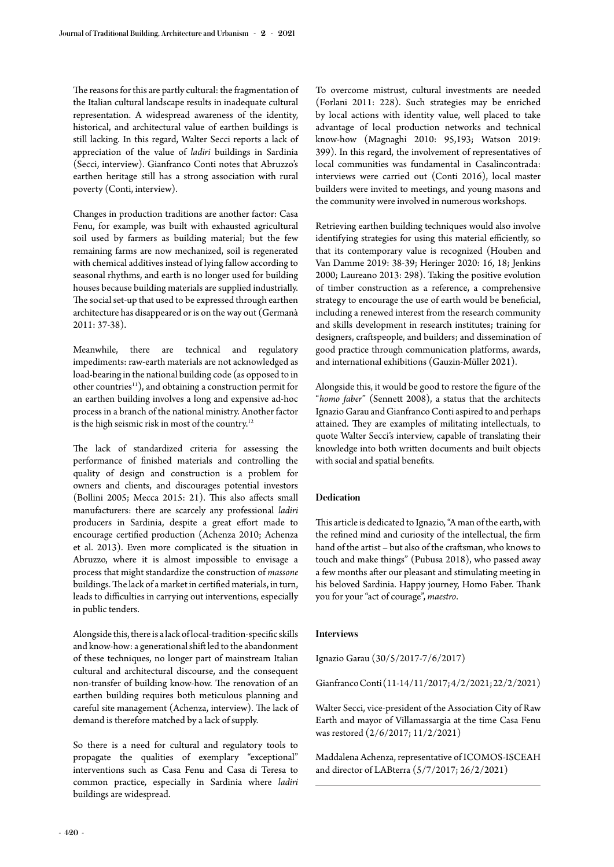The reasons for this are partly cultural: the fragmentation of the Italian cultural landscape results in inadequate cultural representation. A widespread awareness of the identity, historical, and architectural value of earthen buildings is still lacking. In this regard, Walter Secci reports a lack of appreciation of the value of *ladiri* buildings in Sardinia (Secci, interview). Gianfranco Conti notes that Abruzzo's earthen heritage still has a strong association with rural poverty (Conti, interview).

Changes in production traditions are another factor: Casa Fenu, for example, was built with exhausted agricultural soil used by farmers as building material; but the few remaining farms are now mechanized, soil is regenerated with chemical additives instead of lying fallow according to seasonal rhythms, and earth is no longer used for building houses because building materials are supplied industrially. The social set-up that used to be expressed through earthen architecture has disappeared or is on the way out (Germanà 2011: 37-38).

Meanwhile, there are technical and regulatory impediments: raw-earth materials are not acknowledged as load-bearing in the national building code (as opposed to in other countries<sup>11</sup>), and obtaining a construction permit for an earthen building involves a long and expensive ad-hoc process in a branch of the national ministry. Another factor is the high seismic risk in most of the country.<sup>12</sup>

The lack of standardized criteria for assessing the performance of finished materials and controlling the quality of design and construction is a problem for owners and clients, and discourages potential investors (Bollini 2005; Mecca 2015: 21). This also affects small manufacturers: there are scarcely any professional *ladiri* producers in Sardinia, despite a great effort made to encourage certified production (Achenza 2010; Achenza et al. 2013). Even more complicated is the situation in Abruzzo, where it is almost impossible to envisage a process that might standardize the construction of *massone* buildings. The lack of a market in certified materials, in turn, leads to difficulties in carrying out interventions, especially in public tenders.

Alongside this, there is a lack of local-tradition-specific skills and know-how: a generational shift led to the abandonment of these techniques, no longer part of mainstream Italian cultural and architectural discourse, and the consequent non-transfer of building know-how. The renovation of an earthen building requires both meticulous planning and careful site management (Achenza, interview). The lack of demand is therefore matched by a lack of supply.

So there is a need for cultural and regulatory tools to propagate the qualities of exemplary "exceptional" interventions such as Casa Fenu and Casa di Teresa to common practice, especially in Sardinia where *ladiri* buildings are widespread.

To overcome mistrust, cultural investments are needed (Forlani 2011: 228). Such strategies may be enriched by local actions with identity value, well placed to take advantage of local production networks and technical know-how (Magnaghi 2010: 95,193; Watson 2019: 399). In this regard, the involvement of representatives of local communities was fundamental in Casalincontrada: interviews were carried out (Conti 2016), local master builders were invited to meetings, and young masons and the community were involved in numerous workshops.

Retrieving earthen building techniques would also involve identifying strategies for using this material efficiently, so that its contemporary value is recognized (Houben and Van Damme 2019: 38-39; Heringer 2020: 16, 18; Jenkins 2000; Laureano 2013: 298). Taking the positive evolution of timber construction as a reference, a comprehensive strategy to encourage the use of earth would be beneficial, including a renewed interest from the research community and skills development in research institutes; training for designers, craftspeople, and builders; and dissemination of good practice through communication platforms, awards, and international exhibitions (Gauzin-Müller 2021).

Alongside this, it would be good to restore the figure of the "*homo faber*" (Sennett 2008), a status that the architects Ignazio Garau and Gianfranco Conti aspired to and perhaps attained. They are examples of militating intellectuals, to quote Walter Secci's interview, capable of translating their knowledge into both written documents and built objects with social and spatial benefits.

## **Dedication**

This article is dedicated to Ignazio, "A man of the earth, with the refined mind and curiosity of the intellectual, the firm hand of the artist – but also of the craftsman, who knows to touch and make things" (Pubusa 2018), who passed away a few months after our pleasant and stimulating meeting in his beloved Sardinia. Happy journey, Homo Faber. Thank you for your "act of courage", *maestro*.

#### **Interviews**

Ignazio Garau (30/5/2017-7/6/2017)

Gianfranco Conti (11-14/11/2017; 4/2/2021; 22/2/2021)

Walter Secci, vice-president of the Association City of Raw Earth and mayor of Villamassargia at the time Casa Fenu was restored (2/6/2017; 11/2/2021)

Maddalena Achenza, representative of ICOMOS-ISCEAH and director of LABterra (5/7/2017; 26/2/2021)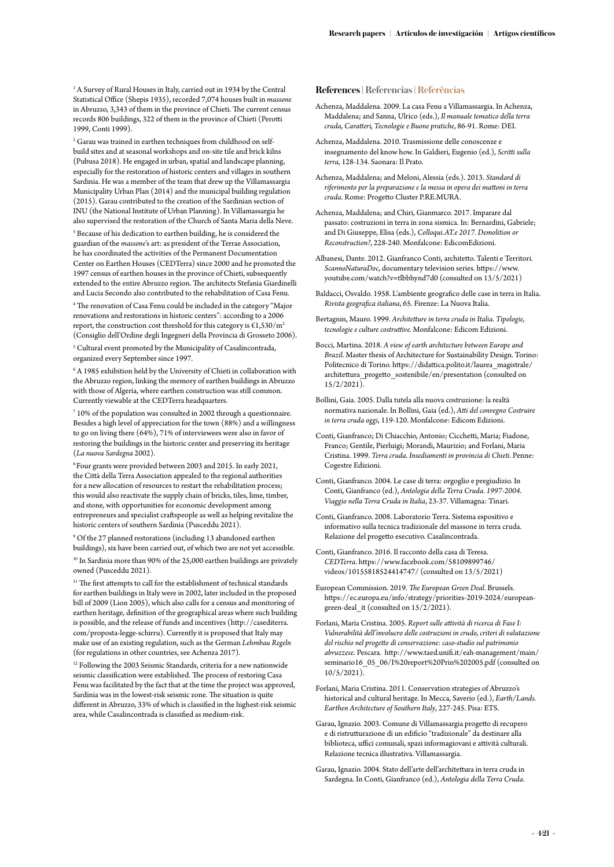<sup>1</sup> A Survey of Rural Houses in Italy, carried out in 1934 by the Central Statistical Office (Shepis 1935), recorded 7,074 houses built in *massone* in Abruzzo, 3,343 of them in the province of Chieti. The current census records 806 buildings, 322 of them in the province of Chieti (Perotti 1999, Conti 1999).

2 Garau was trained in earthen techniques from childhood on selfbuild sites and at seasonal workshops and on-site tile and brick kilns (Pubusa 2018). He engaged in urban, spatial and landscape planning, especially for the restoration of historic centers and villages in southern Sardinia. He was a member of the team that drew up the Villamassargia Municipality Urban Plan (2014) and the municipal building regulation (2015). Garau contributed to the creation of the Sardinian section of INU (the National Institute of Urban Planning). In Villamassargia he also supervised the restoration of the Church of Santa Maria della Neve.

3 Because of his dedication to earthen building, he is considered the guardian of the *massone*'s art: as president of the Terrae Association, he has coordinated the activities of the Permanent Documentation Center on Earthen Houses (CEDTerra) since 2000 and he promoted the 1997 census of earthen houses in the province of Chieti, subsequently extended to the entire Abruzzo region. The architects Stefania Giardinelli and Lucia Secondo also contributed to the rehabilitation of Casa Fenu.

4 The renovation of Casa Fenu could be included in the category "Major renovations and restorations in historic centers": according to a 2006 report, the construction cost threshold for this category is  $£1,530/m²$ (Consiglio dell'Ordine degli Ingegneri della Provincia di Grosseto 2006).

5 Cultural event promoted by the Municipality of Casalincontrada, organized every September since 1997.

 $6$  A 1985 exhibition held by the University of Chieti in collaboration with the Abruzzo region, linking the memory of earthen buildings in Abruzzo with those of Algeria, where earthen construction was still common. Currently viewable at the CEDTerra headquarters.

7 10% of the population was consulted in 2002 through a questionnaire. Besides a high level of appreciation for the town (88%) and a willingness to go on living there (64%), 71% of interviewees were also in favor of restoring the buildings in the historic center and preserving its heritage (*La nuova Sardegna* 2002).

8 Four grants were provided between 2003 and 2015. In early 2021, the Città della Terra Association appealed to the regional authorities for a new allocation of resources to restart the rehabilitation process; this would also reactivate the supply chain of bricks, tiles, lime, timber, and stone, with opportunities for economic development among entrepreneurs and specialist craftspeople as well as helping revitalize the historic centers of southern Sardinia (Pusceddu 2021).

9 Of the 27 planned restorations (including 13 abandoned earthen buildings), six have been carried out, of which two are not yet accessible. <sup>10</sup> In Sardinia more than 90% of the 25,000 earthen buildings are privately owned (Pusceddu 2021).

 $^{\rm 11}$  The first attempts to call for the establishment of technical standards for earthen buildings in Italy were in 2002, later included in the proposed bill of 2009 (Lion 2005), which also calls for a census and monitoring of earthen heritage, definition of the geographical areas where such building is possible, and the release of funds and incentives (http://casediterra. com/proposta-legge-schirru). Currently it is proposed that Italy may make use of an existing regulation, such as the German *Lehmbau Regeln*  (for regulations in other countries, see Achenza 2017).

<sup>12</sup> Following the 2003 Seismic Standards, criteria for a new nationwide seismic classification were established. The process of restoring Casa Fenu was facilitated by the fact that at the time the project was approved, Sardinia was in the lowest-risk seismic zone. The situation is quite different in Abruzzo, 33% of which is classified in the highest-risk seismic area, while Casalincontrada is classified as medium-risk.

#### **References | Referencias | Referências**

- Achenza, Maddalena. 2009. La casa Fenu a Villamassargia. In Achenza, Maddalena; and Sanna, Ulrico (eds.), *Il manuale tematico della terra cruda, Caratteri, Tecnologie e Buone pratiche*, 86-91. Rome: DEI.
- Achenza, Maddalena. 2010. Trasmissione delle conoscenze e insegnamento del know how. In Galdieri, Eugenio (ed.), *Scritti sulla terra*, 128-134. Saonara: Il Prato.
- Achenza, Maddalena; and Meloni, Alessia (eds.). 2013. *Standard di riferimento per la preparazione e la messa in opera dei mattoni in terra cruda*. Rome: Progetto Cluster P.RE.MURA.
- Achenza, Maddalena; and Chiri, Gianmarco. 2017. Imparare dal passato: costruzioni in terra in zona sismica. In: Bernardini, Gabriele; and Di Giuseppe, Elisa (eds.), *Colloqui.AT.e 2017. Demolition or Reconstruction?*, 228-240. Monfalcone: EdicomEdizioni.
- Albanesi, Dante. 2012. Gianfranco Conti, architetto. Talenti e Territori. *ScannoNaturaDoc*, documentary television series. https://www. youtube.com/watch?v=tlbbhynd7d0 (consulted on 13/5/2021)
- Baldacci, Osvaldo. 1958. L'ambiente geografico delle case in terra in Italia. *Rivista geografica italiana*, 65. Firenze: La Nuova Italia.
- Bertagnin, Mauro. 1999. *Architetture in terra cruda in Italia. Tipologie, tecnologie e culture costruttive.* Monfalcone: Edicom Edizioni.
- Bocci, Martina. 2018. *A view of earth architecture between Europe and Brazil*. Master thesis of Architecture for Sustainability Design. Torino: Politecnico di Torino. https://didattica.polito.it/laurea\_magistrale/ architettura\_progetto\_sostenibile/en/presentation (consulted on 15/2/2021).
- Bollini, Gaia. 2005. Dalla tutela alla nuova costruzione: la realtà normativa nazionale. In Bollini, Gaia (ed.), *Atti del convegno Costruire in terra cruda oggi*, 119-120. Monfalcone: Edicom Edizioni.
- Conti, Gianfranco; Di Chiacchio, Antonio; Cicchetti, Maria; Fiadone, Franco; Gentile, Pierluigi; Morandi, Maurizio; and Forlani, Maria Cristina. 1999. *Terra cruda. Insediamenti in provincia di Chieti.* Penne: Cogestre Edizioni.
- Conti, Gianfranco. 2004. Le case di terra: orgoglio e pregiudizio. In Conti, Gianfranco (ed.), *Antologia della Terra Cruda. 1997-2004. Viaggio nella Terra Cruda in Italia*, 23-37. Villamagna: Tinari.
- Conti, Gianfranco. 2008. Laboratorio Terra. Sistema espositivo e informativo sulla tecnica tradizionale del massone in terra cruda. Relazione del progetto esecutivo. Casalincontrada.
- Conti, Gianfranco. 2016. Il racconto della casa di Teresa. *CEDTerra*. https://www.facebook.com/58109899746/ videos/10155818524414747/ (consulted on 13/5/2021)
- European Commission. 2019. *The European Green Deal.* Brussels. https://ec.europa.eu/info/strategy/priorities-2019-2024/europeangreen-deal\_it (consulted on 15/2/2021).
- Forlani, Maria Cristina. 2005. *Report sulle attività di ricerca di Fase I: Vulnerabilità dell'involucro delle costruzioni in crudo, criteri di valutazione del rischio nel progetto di conservazione: caso-studio sul patrimonio abruzzese*. Pescara. http://www.taed.unifi.it/eah-management/main/ seminario16\_05\_06/I%20report%20Prin%202005.pdf (consulted on 10/5/2021).
- Forlani, Maria Cristina. 2011. Conservation strategies of Abruzzo's historical and cultural heritage. In Mecca, Saverio (ed.), *Earth/Lands. Earthen Architecture of Southern Italy*, 227-245. Pisa: ETS.
- Garau, Ignazio. 2003. Comune di Villamassargia progetto di recupero e di ristrutturazione di un edificio "tradizionale" da destinare alla biblioteca, uffici comunali, spazi informagiovani e attività culturali. Relazione tecnica illustrativa. Villamassargia.
- Garau, Ignazio. 2004. Stato dell'arte dell'architettura in terra cruda in Sardegna. In Conti, Gianfranco (ed.), *Antologia della Terra Cruda.*